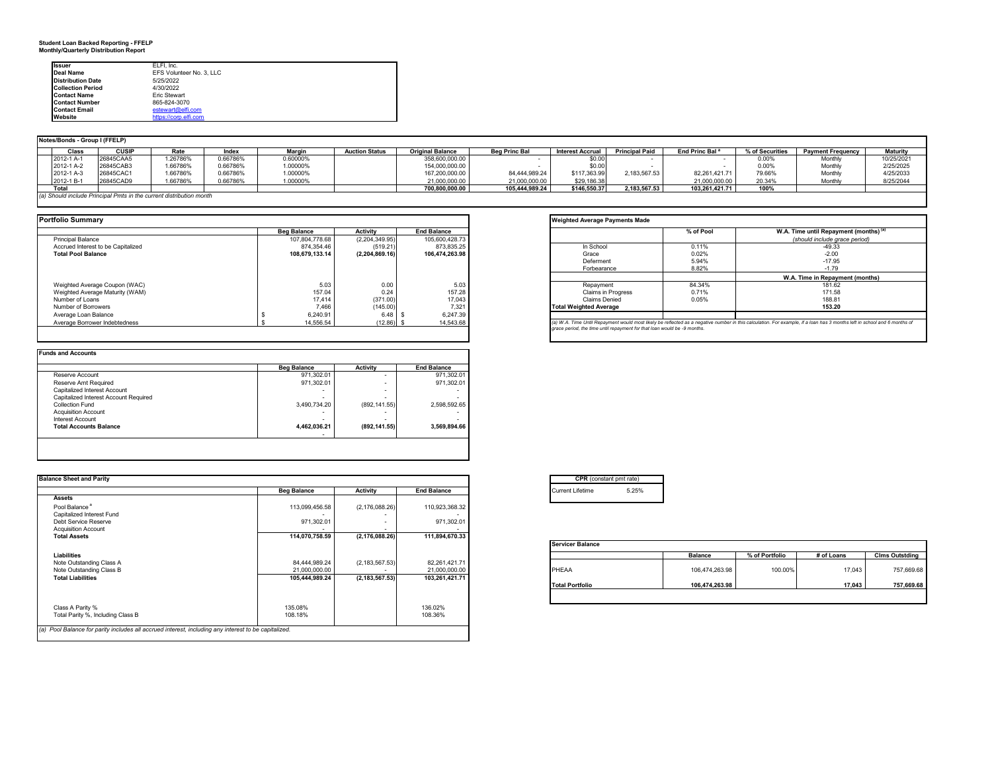#### **Student Loan Backed Reporting - FFELP Monthly/Quarterly Distribution Report**

| <b>Issuer</b>            | ELFI. Inc.               |
|--------------------------|--------------------------|
| <b>Deal Name</b>         | EFS Volunteer No. 3, LLC |
| <b>Distribution Date</b> | 5/25/2022                |
| <b>Collection Period</b> | 4/30/2022                |
| <b>Contact Name</b>      | Fric Stewart             |
| <b>Contact Number</b>    | 865-824-3070             |
| <b>Contact Email</b>     | estewart@elfi.com        |
| Website                  | https://corp.elfi.com    |

|                                                                     | Notes/Bonds - Group I (FFELP) |          |          |          |                       |                         |                      |                         |                       |                            |                 |                          |                 |  |
|---------------------------------------------------------------------|-------------------------------|----------|----------|----------|-----------------------|-------------------------|----------------------|-------------------------|-----------------------|----------------------------|-----------------|--------------------------|-----------------|--|
| Class                                                               | <b>CUSIP</b>                  | Rate     | Index    | Margin   | <b>Auction Status</b> | <b>Original Balance</b> | <b>Beg Princ Bal</b> | <b>Interest Accrual</b> | <b>Principal Paid</b> | End Princ Bal <sup>a</sup> | % of Securities | <b>Payment Frequency</b> | <b>Maturity</b> |  |
| 2012-1 A-1                                                          | 26845CAA5                     | 1.26786% | 0.66786% | 0.60000% |                       | 358,600,000.00          |                      | \$0.00                  |                       |                            | 0.00%           | Monthly                  | 10/25/2021      |  |
| 2012-1 A-2                                                          | 26845CAB3                     | 1.66786% | 0.66786% | 1.00000% |                       | 154,000,000.00          |                      | \$0.00                  |                       |                            | 0.00%           | Monthly                  | 2/25/2025       |  |
| 2012-1 A-3                                                          | 26845CAC                      | 1.66786% | 0.66786% | 1.00000% |                       | 167,200,000.00          | 84,444,989.24        | \$117,363.99            | 2.183.567.53          | 82.261.421.71              | 79.66%          | Monthly                  | 4/25/2033       |  |
| 2012-1 B-1                                                          | 26845CAD9                     | 1.66786% | 0.66786% | 1.00000% |                       | 21,000,000.00           | 21,000,000.00        | \$29,186.38             |                       | 21,000,000.00              | 20.34%          | Monthly                  | 8/25/2044       |  |
| Total                                                               |                               |          |          |          |                       | 700,800,000.00          | 105,444,989.24       | \$146,550.37            | 2.183.567.53          | 103.261.421.71             | 100%            |                          |                 |  |
| (a) Should include Principal Pmts in the current distribution month |                               |          |          |          |                       |                         |                      |                         |                       |                            |                 |                          |                 |  |
|                                                                     |                               |          |          |          |                       |                         |                      |                         |                       |                            |                 |                          |                 |  |

| <b>Portfolio Summary</b>           |                    |                |                    | <b>Weighted Average Payments Made</b>                                                                                                  |           |                       |
|------------------------------------|--------------------|----------------|--------------------|----------------------------------------------------------------------------------------------------------------------------------------|-----------|-----------------------|
|                                    | <b>Beg Balance</b> | Activity       | <b>End Balance</b> |                                                                                                                                        | % of Pool | W.A. Time until Repay |
| <b>Principal Balance</b>           | 107.804.778.68     | (2,204,349.95) | 105.600.428.73     |                                                                                                                                        |           | (should include gr    |
| Accrued Interest to be Capitalized | 874.354.46         | (519.21)       | 873.835.25         | In School                                                                                                                              | 0.11%     | $-49.33$              |
| <b>Total Pool Balance</b>          | 108.679.133.14     | (2.204.869.16) | 106.474.263.98     | Grace                                                                                                                                  | 0.02%     | $-2.00$               |
|                                    |                    |                |                    | Deferment                                                                                                                              | 5.94%     | $-17.95$              |
|                                    |                    |                |                    | Forbearance                                                                                                                            | 8.82%     | $-1.79$               |
|                                    |                    |                |                    |                                                                                                                                        |           | W.A. Time in Repayı   |
| Weighted Average Coupon (WAC)      | 5.03               | 0.00           | 5.03               | Repayment                                                                                                                              | 84.34%    | 181.62                |
| Weighted Average Maturity (WAM)    | 157.04             | 0.24           | 157.28             | <b>Claims in Progress</b>                                                                                                              | 0.71%     | 171.58                |
| Number of Loans                    | 17.414             | (371.00)       | 17.043             | Claims Denied                                                                                                                          | 0.05%     | 188.81                |
| Number of Borrowers                | 7.466              | (145.00)       | 7.321              | <b>Total Weighted Average</b>                                                                                                          |           | 153.20                |
| Average Loan Balance               | 6.240.91           | 6.48           | 6.247.39           |                                                                                                                                        |           |                       |
| Average Borrower Indebtedness      | 14.556.54          | $(12.86)$ \$   | 14,543.68          | (a) W.A. Time Until Repayment would most likely be reflected as a negative number in this calculation. For example, if a loan has 3 mo |           |                       |
|                                    |                    |                |                    | grace period, the time until repayment for that loan would be -9 months.                                                               |           |                       |

|                                       | <b>Beg Balance</b> | <b>Activity</b> | <b>End Balance</b> |
|---------------------------------------|--------------------|-----------------|--------------------|
| Reserve Account                       | 971,302.01         |                 | 971,302.01         |
| Reserve Amt Required                  | 971.302.01         |                 | 971,302.01         |
| Capitalized Interest Account          |                    | -               |                    |
| Capitalized Interest Account Required | ۰                  |                 |                    |
| <b>Collection Fund</b>                | 3,490,734.20       | (892, 141.55)   | 2.598.592.65       |
| <b>Acquisition Account</b>            |                    |                 |                    |
| <b>Interest Account</b>               | -                  |                 |                    |
| <b>Total Accounts Balance</b>         | 4,462,036.21       | (892, 141.55)   | 3.569.894.66       |

| <b>Balance Sheet and Parity</b>                                                                      |                    |                  |                    | <b>CPR</b> (constant pmt rate) |       |                |                |            |                       |
|------------------------------------------------------------------------------------------------------|--------------------|------------------|--------------------|--------------------------------|-------|----------------|----------------|------------|-----------------------|
|                                                                                                      | <b>Beg Balance</b> | Activity         | <b>End Balance</b> | <b>Current Lifetime</b>        | 5.25% |                |                |            |                       |
| <b>Assets</b>                                                                                        |                    |                  |                    |                                |       |                |                |            |                       |
| Pool Balance <sup>a</sup>                                                                            | 113,099,456.58     | (2, 176, 088.26) | 110,923,368.32     |                                |       |                |                |            |                       |
| Capitalized Interest Fund                                                                            |                    |                  |                    |                                |       |                |                |            |                       |
| Debt Service Reserve                                                                                 | 971,302.01         |                  | 971,302.01         |                                |       |                |                |            |                       |
| <b>Acquisition Account</b>                                                                           |                    |                  |                    |                                |       |                |                |            |                       |
| <b>Total Assets</b>                                                                                  | 114,070,758.59     | (2, 176, 088.26) | 111,894,670.33     |                                |       |                |                |            |                       |
|                                                                                                      |                    |                  |                    | <b>Servicer Balance</b>        |       |                |                |            |                       |
| Liabilities                                                                                          |                    |                  |                    |                                |       | <b>Balance</b> | % of Portfolio | # of Loans | <b>Clms Outstding</b> |
| Note Outstanding Class A                                                                             | 84,444,989.24      | (2, 183, 567.53) | 82,261,421.71      |                                |       |                |                |            |                       |
| Note Outstanding Class B                                                                             | 21.000.000.00      |                  | 21,000,000.00      | PHEAA                          |       | 106,474,263.98 | 100.00%        | 17,043     | 757,669.68            |
| <b>Total Liabilities</b>                                                                             | 105,444,989.24     | (2, 183, 567.53) | 103,261,421.71     |                                |       |                |                |            |                       |
|                                                                                                      |                    |                  |                    | <b>Total Portfolio</b>         |       | 106,474,263.98 |                | 17,043     | 757,669.68            |
|                                                                                                      |                    |                  |                    |                                |       |                |                |            |                       |
| Class A Parity %                                                                                     | 135.08%            |                  | 136.02%            |                                |       |                |                |            |                       |
| Total Parity %, Including Class B                                                                    | 108.18%            |                  | 108.36%            |                                |       |                |                |            |                       |
|                                                                                                      |                    |                  |                    |                                |       |                |                |            |                       |
| (a) Pool Balance for parity includes all accrued interest, including any interest to be capitalized. |                    |                  |                    |                                |       |                |                |            |                       |

|                               | % of Pool | W.A. Time until Repayment (months) <sup>(a)</sup><br>(should include arace period) |
|-------------------------------|-----------|------------------------------------------------------------------------------------|
| In School                     | 0.11%     | $-49.33$                                                                           |
| Grace                         | 0.02%     | $-2.00$                                                                            |
| Deferment                     | 5.94%     | $-17.95$                                                                           |
| Forbearance                   | 8.82%     | $-1.79$                                                                            |
|                               |           | W.A. Time in Repayment (months)                                                    |
| Repayment                     | 84.34%    | 181.62                                                                             |
| <b>Claims in Progress</b>     | 0.71%     | 171.58                                                                             |
| Claims Denied                 | 0.05%     | 188.81                                                                             |
| <b>Total Weighted Average</b> |           | 153.20                                                                             |
|                               |           |                                                                                    |

|                        | <b>Balance</b> | % of Portfolio | # of Loans | <b>Clms Outstding</b> |
|------------------------|----------------|----------------|------------|-----------------------|
| PHEAA                  | 106,474,263.98 | 100.00%        | 17,043     | 757,669.68            |
| <b>Total Portfolio</b> | 106,474,263.98 |                | 17.043     | 757,669.68            |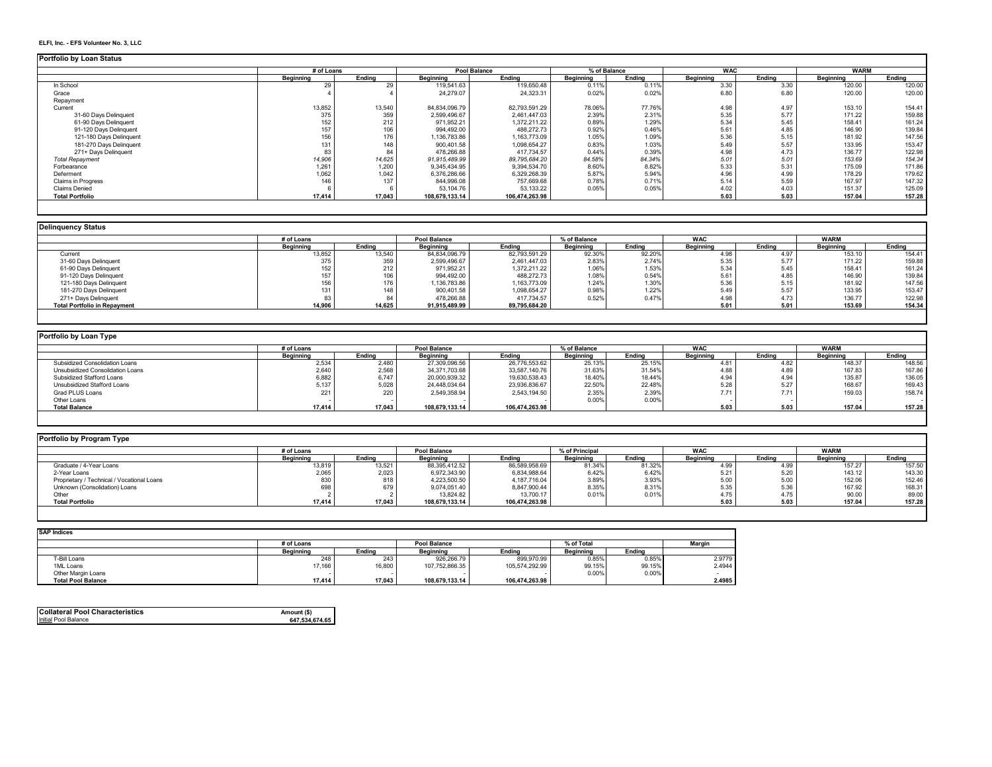#### **ELFI, Inc. - EFS Volunteer No. 3, LLC**

#### **Portfolio by Loan Status**

| <b>UNIONO DY LUGH URIUS</b> |            |        |                |                     |              |        |            |        |             |        |
|-----------------------------|------------|--------|----------------|---------------------|--------------|--------|------------|--------|-------------|--------|
|                             | # of Loans |        |                | <b>Pool Balance</b> | % of Balance |        | <b>WAC</b> |        | <b>WARM</b> |        |
|                             | Beainnina  | Endina | Beainnina      | Endina              | Beainnina    | Endina | Beainnina  | Endina | Beginning   | Endina |
| In School                   | 29         | 29     | 119,541.63     | 119,650.48          | 0.11%        | 0.11%  | 3.30       | 3.30   | 120.00      | 120.00 |
| Grace                       |            |        | 24.279.07      | 24.323.31           | 0.02%        | 0.02%  | 6.80       | 6.80   | 120.00      | 120.00 |
| Repayment                   |            |        |                |                     |              |        |            |        |             |        |
| Current                     | 13,852     | 13,540 | 84.834.096.79  | 82,793,591.29       | 78.06%       | 77.76% | 4.98       | 4.97   | 153.10      | 154.41 |
| 31-60 Davs Delinguent       | 375        | 359    | 2,599,496.67   | 2,461,447.03        | 2.39%        | 2.31%  | 5.35       | 5.77   | 171.22      | 159.88 |
| 61-90 Days Delinquent       | 152        | 212    | 971,952.21     | 1,372,211.22        | 0.89%        | 1.29%  | 5.34       | 5.45   | 158.41      | 161.24 |
| 91-120 Days Delinquent      | 157        | 106    | 994,492.00     | 488,272.73          | 0.92%        | 0.46%  | 5.61       | 4.85   | 146.90      | 139.84 |
| 121-180 Davs Delinguent     | 156        | 176    | 1,136,783.86   | 1,163,773.09        | 1.05%        | 1.09%  | 5.36       | 5.15   | 181.92      | 147.56 |
| 181-270 Davs Delinguent     | 131        | 148    | 900,401.58     | 1,098,654.27        | 0.83%        | 1.03%  | 5.49       | 5.57   | 133.95      | 153.47 |
| 271+ Davs Delinguent        | 83         | 84     | 478.266.88     | 417.734.57          | 0.44%        | 0.39%  | 4.98       | 4.73   | 136.77      | 122.98 |
| <b>Total Repayment</b>      | 14,906     | 14.625 | 91.915.489.99  | 89,795,684.20       | 84.58%       | 84.34% | 5.01       | 5.01   | 153.69      | 154.34 |
| Forbearance                 | 1,261      | 1,200  | 9,345,434.95   | 9,394,534.70        | 8.60%        | 8.82%  | 5.33       | 5.31   | 175.09      | 171.86 |
| Deferment                   | 1,062      | 1,042  | 6,376,286.66   | 6,329,268.39        | 5.87%        | 5.94%  | 4.96       | 4.99   | 178.29      | 179.62 |
| Claims in Progress          | 146        | 137    | 844.996.08     | 757,669.68          | 0.78%        | 0.71%  | 5.14       | 5.59   | 167.97      | 147.32 |
| <b>Claims Denied</b>        |            |        | 53,104.76      | 53,133.22           | 0.05%        | 0.05%  | 4.02       | 4.03   | 151.37      | 125.09 |
| <b>Total Portfolio</b>      | 17,414     | 17,043 | 108,679,133.14 | 106,474,263.98      |              |        | 5.03       | 5.03   | 157.04      | 157.28 |
|                             |            |        |                |                     |              |        |            |        |             |        |

| <b>Delinquency Status</b>           |            |        |                     |               |              |        |                  |        |                  |        |  |
|-------------------------------------|------------|--------|---------------------|---------------|--------------|--------|------------------|--------|------------------|--------|--|
|                                     | # of Loans |        | <b>Pool Balance</b> |               | 6 of Balance |        | <b>WAC</b>       |        | <b>WARM</b>      |        |  |
|                                     | Beginning  | Endina | <b>Beginning</b>    | Endina        | Beginning    | Endina | <b>Beainning</b> | Endina | <b>Beginning</b> | Endina |  |
| Current                             | 13,852     | 13,540 | 84,834,096.79       | 82,793,591.29 | 92.30%       | 92.20% | 4.98             | 1.97   | 153.10           | 154.41 |  |
| 31-60 Days Delinquent               | 375        | 359    | 2,599,496.67        | 2,461,447.03  | 2.83%        | 2.74%  | 5.35             | 5.77   | 171.22           | 159.88 |  |
| 61-90 Days Delinquent               | 152        | 212    | 971,952.21          | 1,372,211.22  | 1.06%        | 1.53%  | 5.34             | 5.45   | 158.41           | 161.24 |  |
| 91-120 Days Delinquent              | 157        |        | 994,492.00          | 488,272.73    | 1.08%        | 0.54%  | 5.61             | 4.85   | 146.90           | 139.84 |  |
| 121-180 Days Delinquent             | 156        | 176    | 1,136,783.86        | 1,163,773.09  | 1.24%        | 1.30%  | 5.36             | 5.15   | 181.92           | 147.56 |  |
| 181-270 Days Delinquent             | 131        | 148    | 900,401.58          | 1,098,654.27  | 0.98%        | 1.22%  | 5.49             | 5.57   | 133.95           | 153.47 |  |
| 271+ Days Delinquent                | 83         |        | 478,266.88          | 417,734.57    | 0.52%        | 0.47%  | 4.98             | 4.73   | 136.77           | 122.98 |  |
| <b>Total Portfolio in Repayment</b> | 14,906     | 14,625 | 91,915,489.99       | 89,795,684.20 |              |        | 5.01             | 5.01   | 153.69           | 154.34 |  |

| Portfolio by Loan Type           |                  |        |                  |                |                  |              |                  |            |           |        |  |
|----------------------------------|------------------|--------|------------------|----------------|------------------|--------------|------------------|------------|-----------|--------|--|
|                                  | # of Loans       |        |                  | Pool Balance   |                  | % of Balance |                  | <b>WAC</b> |           |        |  |
|                                  | <b>Beainning</b> | Endina | <b>Beainning</b> | Endina         | <b>Beainning</b> | Endina       | <b>Beainning</b> | Endina     | Beainning | Ending |  |
| Subsidized Consolidation Loans   | 2,534            | 2.480  | 27,309,096.56    | 26,776,553.62  | 25.13%           | 25.15%       | 4.81             | 4.82       | 148.37    | 148.56 |  |
| Unsubsidized Consolidation Loans | 2,640            | 2.568  | 34,371,703.68    | 33,587,140.76  | 31.63%           | 31.54%       | 4.88             | 4.89       | 167.83    | 167.86 |  |
| Subsidized Stafford Loans        | 6,882            | 6.747  | 20,000,939.32    | 19,630,538.43  | 18.40%           | 18.44%       | 4.94             | 4.94       | 135.87    | 136.05 |  |
| Unsubsidized Stafford Loans      | 5,137            | 5,028  | 24,448,034.64    | 23,936,836.67  | 22.50%           | 22.48%       | 5.28             | 5.27       | 168.67    | 169.43 |  |
| Grad PLUS Loans                  | 221              | 220    | 2,549,358.94     | 2,543,194.50   | 2.35%            | 2.39%        | 7.71             | 7.71       | 159.03    | 158.74 |  |
| Other Loans                      |                  |        |                  |                | 0.00%            | 0.00%        |                  |            |           |        |  |
| <b>Total Balance</b>             | 17,414           | 17,043 | 108,679,133.14   | 106,474,263.98 |                  |              | 5.03             | 5.03       | 157.04    | 157.28 |  |

| Portfolio by Program Type |        |                  |                     |                  |        |                  |             |             |        |  |
|---------------------------|--------|------------------|---------------------|------------------|--------|------------------|-------------|-------------|--------|--|
| # of Loans                |        |                  |                     | % of Principal   |        | <b>WAC</b>       |             | <b>WARM</b> |        |  |
| <b>Beainning</b>          | Ending | <b>Beainning</b> | Endina              | <b>Beainning</b> | Endina | <b>Beainning</b> | Endina      | Beainnina   | Endina |  |
| 13,819                    | 13,521 | 88,395,412.52    | 86,589,958.69       | 81.34%           | 81.32% | +.೨೭             | <b>L.99</b> | 157.27      | 157.50 |  |
| 2,065                     | 2,023  | 6,972,343.90     | 6,834,988.64        | 6.42%            | 6.42%  | 5.21             | 5.20        | 143.12      | 143.30 |  |
| 830                       | 818    | 4,223,500.50     | 4,187,716.04        | 3.89%            | 3.93%  | 5.00             | 5.00        | 152.06      | 152.46 |  |
| 698                       | 679    | 9,074,051.40     | 8,847,900.44        | 8.35%            | 8.31%  | 5.35             | 5.36        | 167.92      | 168.31 |  |
|                           |        | 13,824.82        | 13,700.17           | 0.01%            | 0.01%  | 4.75             | 1.75        | 90.00       | 89.00  |  |
| 17,414                    | 17.043 | 108,679,133.14   | 106,474,263.98      |                  |        | 5.03             | 5.03        | 157.04      | 157.28 |  |
|                           |        |                  | <b>Pool Balance</b> |                  |        |                  |             |             |        |  |

| <b>SAP Indices</b>        |            |        |                     |                |                  |        |        |  |
|---------------------------|------------|--------|---------------------|----------------|------------------|--------|--------|--|
|                           | # of Loans |        | <b>Pool Balance</b> |                | % of Total       |        | Margin |  |
|                           | Beginning  | Endina | <b>Beainning</b>    | Endina         | <b>Beainning</b> | Endina |        |  |
| T-Bill Loans              | 248        | 243    | 926.266.79          | 899.970.99     | 0.85%            | 0.85%  | 2.9779 |  |
| 1ML Loans                 | 17,166     | 16,800 | 107,752,866.35      | 105,574,292.99 | 99.15%           | 99.15% | 2.4944 |  |
| Other Margin Loans        |            |        |                     |                | 0.00%            | 0.00%  |        |  |
| <b>Total Pool Balance</b> | 17.414     | 17.043 | 108.679.133.14      | 106.474.263.98 |                  |        | 2.4985 |  |

| <b>Collateral Pool Characteristics</b> | Amount (\$)    |
|----------------------------------------|----------------|
| Initial Pool Balance                   | 647.534.674.65 |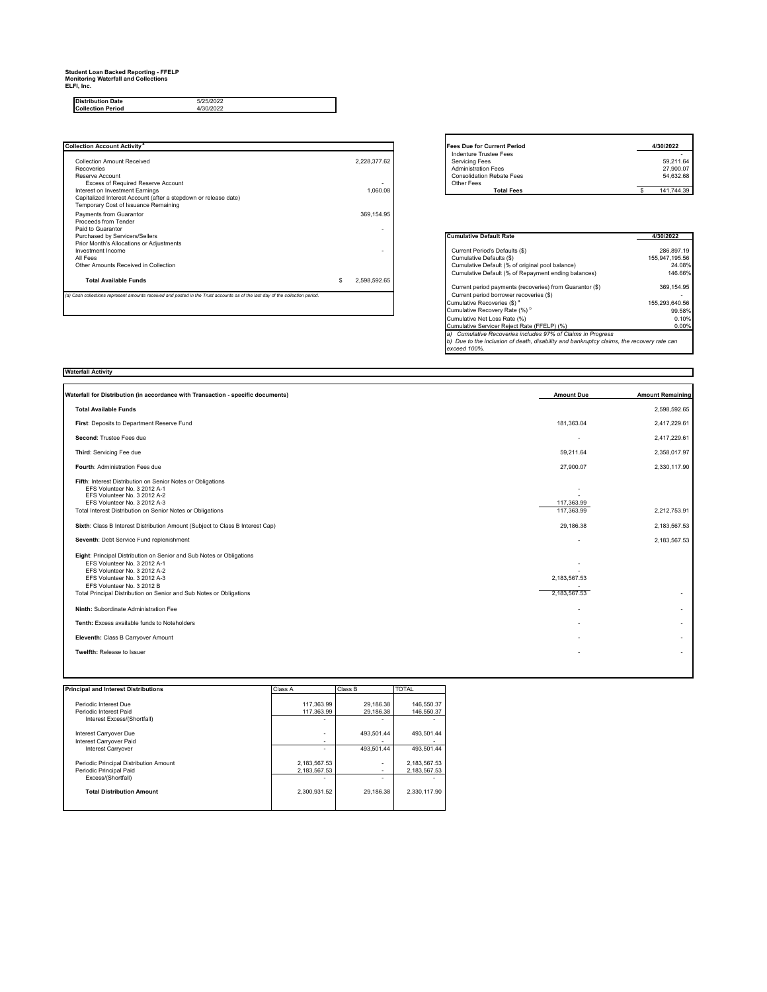# **Student Loan Backed Reporting - FFELP Monitoring Waterfall and Collections ELFI, Inc.**

**Distribution Date Collection Period**

| <b>Collection Account Activity<sup>a</sup></b>                                                                                | <b>Fees Due for Current Period</b> | 4/30/2022                                                                                                       |  |                                        |
|-------------------------------------------------------------------------------------------------------------------------------|------------------------------------|-----------------------------------------------------------------------------------------------------------------|--|----------------------------------------|
| Collection Amount Received<br>Recoveries<br>Reserve Account                                                                   | 2.228.377.62                       | Indenture Trustee Fees<br>Servicing Fees<br><b>Administration Fees</b><br><b>Consolidation Rebate Fees</b>      |  | 59.211.64<br>27,900.07<br>54.632.68    |
| Excess of Required Reserve Account<br>Interest on Investment Earnings                                                         | 1.060.08                           | Other Fees<br><b>Total Fees</b>                                                                                 |  | 141.744.39                             |
| Capitalized Interest Account (after a stepdown or release date)<br>Temporary Cost of Issuance Remaining                       |                                    |                                                                                                                 |  |                                        |
| Payments from Guarantor<br>Proceeds from Tender<br>Paid to Guarantor                                                          | 369.154.95                         |                                                                                                                 |  |                                        |
| Purchased by Servicers/Sellers<br>Prior Month's Allocations or Adjustments                                                    |                                    | <b>Cumulative Default Rate</b>                                                                                  |  | 4/30/2022                              |
| Investment Income<br>All Fees<br>Other Amounts Received in Collection                                                         |                                    | Current Period's Defaults (\$)<br>Cumulative Defaults (\$)<br>Cumulative Default (% of original pool balance)   |  | 286.897.19<br>155.947.195.56<br>24.08% |
| <b>Total Available Funds</b>                                                                                                  | 2.598.592.65                       | Cumulative Default (% of Repayment ending balances)<br>Current period payments (recoveries) from Guarantor (\$) |  | 146.66%<br>369, 154.95                 |
| (a) Cash collections represent amounts received and posted in the Trust accounts as of the last day of the collection period. |                                    | Current period borrower recoveries (\$)                                                                         |  |                                        |
|                                                                                                                               |                                    | Cumulative Recoveries (\$) <sup>a</sup><br>Cumulative Desauery Data (0/1 <sup>0</sup>                           |  | 155.293.640.56<br>OO FOR               |

5/25/2022 4/30/2022

| <b>Fees Due for Current Period</b> | 4/30/2022  |
|------------------------------------|------------|
| Indenture Trustee Fees             |            |
| <b>Servicing Fees</b>              | 59.211.64  |
| <b>Administration Fees</b>         | 27,900.07  |
| <b>Consolidation Rebate Fees</b>   | 54.632.68  |
| Other Fees                         |            |
| <b>Total Fees</b>                  | 141.744.39 |

| <b>Cumulative Default Rate</b>                                                               | 4/30/2022      |
|----------------------------------------------------------------------------------------------|----------------|
|                                                                                              |                |
| Current Period's Defaults (\$)                                                               | 286.897.19     |
| Cumulative Defaults (\$)                                                                     | 155.947.195.56 |
| Cumulative Default (% of original pool balance)                                              | 24.08%         |
| Cumulative Default (% of Repayment ending balances)                                          | 146.66%        |
| Current period payments (recoveries) from Guarantor (\$)                                     | 369.154.95     |
| Current period borrower recoveries (\$)                                                      |                |
| Cumulative Recoveries (\$) <sup>a</sup>                                                      | 155.293.640.56 |
| Cumulative Recovery Rate (%) <sup>b</sup>                                                    | 99.58%         |
| Cumulative Net Loss Rate (%)                                                                 | 0.10%          |
| Cumulative Servicer Reject Rate (FFELP) (%)                                                  | 0.00%          |
| Cumulative Recoveries includes 97% of Claims in Progress<br>a)                               |                |
| Due to the inclusion of death, disability and bankruptcy claims, the recovery rate can<br>b) |                |
| exceed 100%.                                                                                 |                |

| <b>Waterfall Activity</b>                                                                                                                                                                                                                                                 |                              |                          |
|---------------------------------------------------------------------------------------------------------------------------------------------------------------------------------------------------------------------------------------------------------------------------|------------------------------|--------------------------|
|                                                                                                                                                                                                                                                                           |                              |                          |
| Waterfall for Distribution (in accordance with Transaction - specific documents)                                                                                                                                                                                          | <b>Amount Due</b>            | <b>Amount Remaining</b>  |
| <b>Total Available Funds</b>                                                                                                                                                                                                                                              |                              | 2,598,592.65             |
| First: Deposits to Department Reserve Fund                                                                                                                                                                                                                                | 181,363.04                   | 2,417,229.61             |
| Second: Trustee Fees due                                                                                                                                                                                                                                                  | ٠                            | 2.417.229.61             |
| Third: Servicing Fee due                                                                                                                                                                                                                                                  | 59,211.64                    | 2,358,017.97             |
| Fourth: Administration Fees due                                                                                                                                                                                                                                           | 27,900.07                    | 2,330,117.90             |
| Fifth: Interest Distribution on Senior Notes or Obligations<br>EFS Volunteer No. 3 2012 A-1<br>EFS Volunteer No. 3 2012 A-2<br>EFS Volunteer No. 3 2012 A-3<br>Total Interest Distribution on Senior Notes or Obligations                                                 | 117,363.99<br>117,363,99     | 2,212,753.91             |
| Sixth: Class B Interest Distribution Amount (Subject to Class B Interest Cap)                                                                                                                                                                                             | 29,186.38                    | 2,183,567.53             |
| Seventh: Debt Service Fund replenishment                                                                                                                                                                                                                                  |                              | 2,183,567.53             |
| Eight: Principal Distribution on Senior and Sub Notes or Obligations<br>EFS Volunteer No. 3 2012 A-1<br>EFS Volunteer No. 3 2012 A-2<br>EFS Volunteer No. 3 2012 A-3<br>EFS Volunteer No. 3 2012 B<br>Total Principal Distribution on Senior and Sub Notes or Obligations | 2,183,567.53<br>2.183.567.53 | ٠                        |
| Ninth: Subordinate Administration Fee                                                                                                                                                                                                                                     |                              | $\sim$                   |
| Tenth: Excess available funds to Noteholders                                                                                                                                                                                                                              |                              | $\sim$                   |
| Eleventh: Class B Carryover Amount                                                                                                                                                                                                                                        |                              | $\mathbf{r}$             |
| Twelfth: Release to Issuer                                                                                                                                                                                                                                                |                              | $\overline{\phantom{a}}$ |
|                                                                                                                                                                                                                                                                           |                              |                          |

| <b>Principal and Interest Distributions</b>                                             | Class A                      | Class B                  | <b>TOTAL</b>                 |  |
|-----------------------------------------------------------------------------------------|------------------------------|--------------------------|------------------------------|--|
| Periodic Interest Due<br>Periodic Interest Paid<br>Interest Excess/(Shortfall)          | 117,363.99<br>117.363.99     | 29,186.38<br>29.186.38   | 146.550.37<br>146.550.37     |  |
| Interest Carryover Due<br>Interest Carryover Paid<br>Interest Carryover                 | ٠<br>۰<br>۰                  | 493.501.44<br>493.501.44 | 493.501.44<br>493.501.44     |  |
| Periodic Principal Distribution Amount<br>Periodic Principal Paid<br>Excess/(Shortfall) | 2,183,567.53<br>2,183,567.53 |                          | 2,183,567.53<br>2,183,567.53 |  |
| <b>Total Distribution Amount</b>                                                        | 2.300.931.52                 | 29.186.38                | 2.330.117.90                 |  |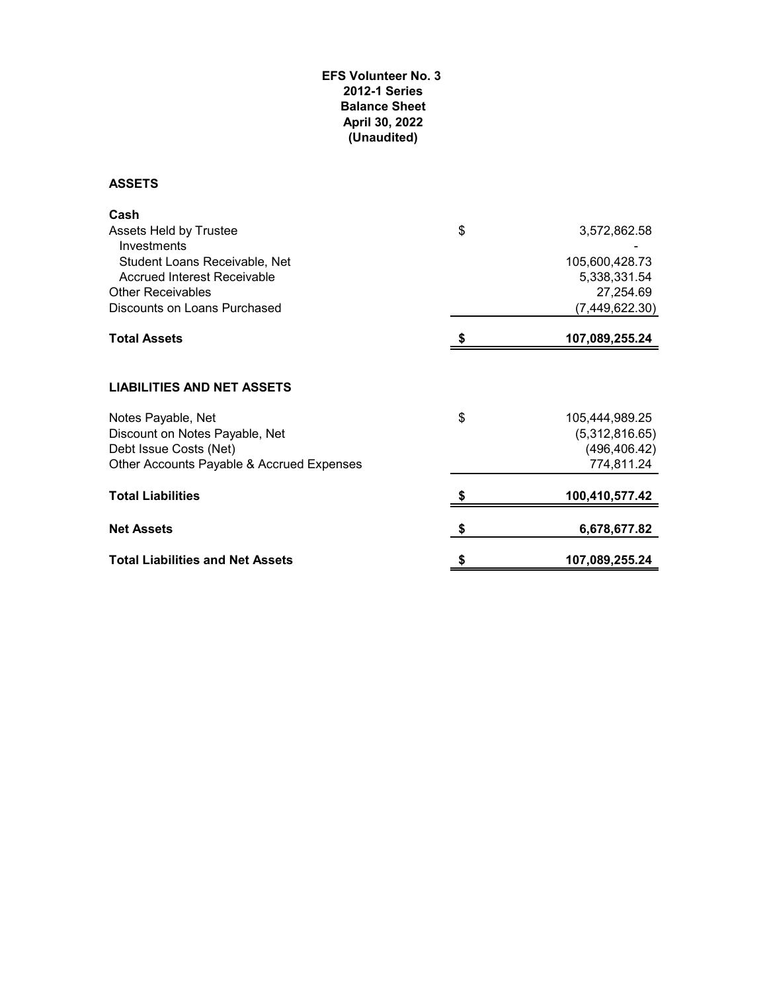#### **EFS Volunteer No. 3 2012-1 Series Balance Sheet April 30, 2022 (Unaudited)**

**ASSETS**

| Cash                                      |                      |
|-------------------------------------------|----------------------|
| Assets Held by Trustee<br>Investments     | \$<br>3,572,862.58   |
| Student Loans Receivable, Net             | 105,600,428.73       |
| Accrued Interest Receivable               | 5,338,331.54         |
| <b>Other Receivables</b>                  | 27,254.69            |
| Discounts on Loans Purchased              | (7,449,622.30)       |
| <b>Total Assets</b>                       | 107,089,255.24       |
| <b>LIABILITIES AND NET ASSETS</b>         |                      |
| Notes Payable, Net                        | \$<br>105,444,989.25 |
| Discount on Notes Payable, Net            | (5,312,816.65)       |
| Debt Issue Costs (Net)                    | (496, 406.42)        |
| Other Accounts Payable & Accrued Expenses | 774,811.24           |
| <b>Total Liabilities</b>                  | 100,410,577.42       |
| <b>Net Assets</b>                         | \$<br>6,678,677.82   |
| <b>Total Liabilities and Net Assets</b>   | 107,089,255.24       |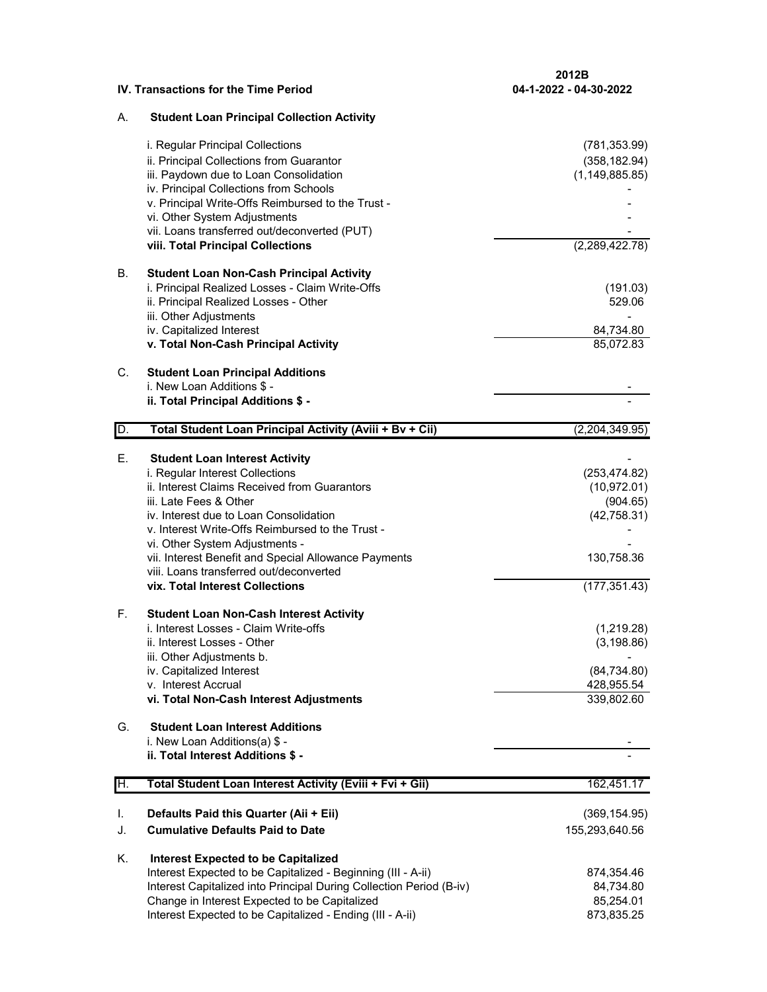**2012B**

#### **IV. Transactions for the Time Period**

### A. **Student Loan Principal Collection Activity**

|                | i. Regular Principal Collections<br>ii. Principal Collections from Guarantor<br>iii. Paydown due to Loan Consolidation<br>iv. Principal Collections from Schools<br>v. Principal Write-Offs Reimbursed to the Trust -<br>vi. Other System Adjustments<br>vii. Loans transferred out/deconverted (PUT)<br>viii. Total Principal Collections                                                                                                                                                                                                                                                                                                                                                                                                                                                    | (781, 353.99)<br>(358, 182.94)<br>(1, 149, 885.85)<br>(2,289,422.78)                                                                                             |
|----------------|-----------------------------------------------------------------------------------------------------------------------------------------------------------------------------------------------------------------------------------------------------------------------------------------------------------------------------------------------------------------------------------------------------------------------------------------------------------------------------------------------------------------------------------------------------------------------------------------------------------------------------------------------------------------------------------------------------------------------------------------------------------------------------------------------|------------------------------------------------------------------------------------------------------------------------------------------------------------------|
| В.             | <b>Student Loan Non-Cash Principal Activity</b><br>i. Principal Realized Losses - Claim Write-Offs<br>ii. Principal Realized Losses - Other<br>iii. Other Adjustments<br>iv. Capitalized Interest<br>v. Total Non-Cash Principal Activity                                                                                                                                                                                                                                                                                                                                                                                                                                                                                                                                                     | (191.03)<br>529.06<br>84,734.80<br>85,072.83                                                                                                                     |
| C.             | <b>Student Loan Principal Additions</b><br>i. New Loan Additions \$ -<br>ii. Total Principal Additions \$ -                                                                                                                                                                                                                                                                                                                                                                                                                                                                                                                                                                                                                                                                                   |                                                                                                                                                                  |
| D.             | Total Student Loan Principal Activity (Aviii + Bv + Cii)                                                                                                                                                                                                                                                                                                                                                                                                                                                                                                                                                                                                                                                                                                                                      | (2,204,349.95)                                                                                                                                                   |
| Е.<br>F.<br>G. | <b>Student Loan Interest Activity</b><br>i. Regular Interest Collections<br>ii. Interest Claims Received from Guarantors<br>iii. Late Fees & Other<br>iv. Interest due to Loan Consolidation<br>v. Interest Write-Offs Reimbursed to the Trust -<br>vi. Other System Adjustments -<br>vii. Interest Benefit and Special Allowance Payments<br>viii. Loans transferred out/deconverted<br>vix. Total Interest Collections<br><b>Student Loan Non-Cash Interest Activity</b><br>i. Interest Losses - Claim Write-offs<br>ii. Interest Losses - Other<br>iii. Other Adjustments b.<br>iv. Capitalized Interest<br>v. Interest Accrual<br>vi. Total Non-Cash Interest Adjustments<br><b>Student Loan Interest Additions</b><br>i. New Loan Additions(a) \$ -<br>ii. Total Interest Additions \$ - | (253, 474.82)<br>(10, 972.01)<br>(904.65)<br>(42,758.31)<br>130,758.36<br>(177, 351.43)<br>(1,219.28)<br>(3, 198.86)<br>(84, 734.80)<br>428,955.54<br>339,802.60 |
| H.             | Total Student Loan Interest Activity (Eviii + Fvi + Gii)                                                                                                                                                                                                                                                                                                                                                                                                                                                                                                                                                                                                                                                                                                                                      | 162,451.17                                                                                                                                                       |
| I.<br>J.       | Defaults Paid this Quarter (Aii + Eii)<br><b>Cumulative Defaults Paid to Date</b>                                                                                                                                                                                                                                                                                                                                                                                                                                                                                                                                                                                                                                                                                                             | (369, 154.95)<br>155,293,640.56                                                                                                                                  |
| Κ.             | <b>Interest Expected to be Capitalized</b><br>Interest Expected to be Capitalized - Beginning (III - A-ii)<br>Interest Capitalized into Principal During Collection Period (B-iv)<br>Change in Interest Expected to be Capitalized<br>Interest Expected to be Capitalized - Ending (III - A-ii)                                                                                                                                                                                                                                                                                                                                                                                                                                                                                               | 874,354.46<br>84,734.80<br>85,254.01<br>873,835.25                                                                                                               |